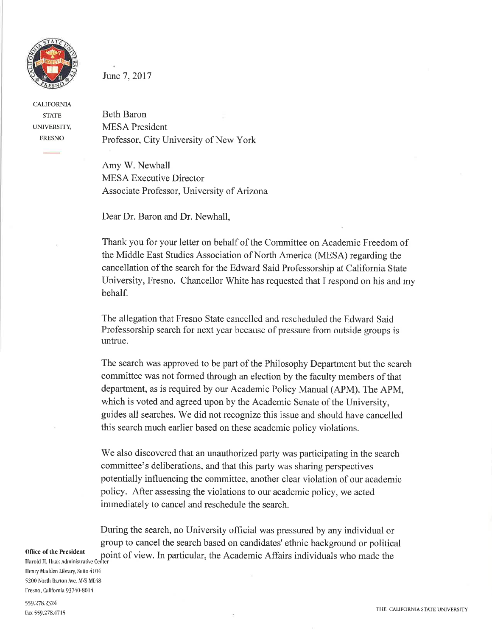

CALIFORNIA **STATE** UNTVERSITY, FRESNO

## June 7,2017

Beth Baron MESA President Professor, City University of New York

Amy W. Newhall MESA Executive Director Associate Professor, University of Arizona

Dear Dr. Baron and Dr. Newhall,

Thank you for your letter on behalf of the Committee on Academic Freedom of the Middle East Studies Association of North America (MESA) regarding the cancellation of the search for the Edward Said Professorship at California State University, Fresno. Chancellor White has requested that I respond on his and my behalf.

The allegation that Fresno State cancelled and rescheduled the Edward Said Professorship search for next year because of pressure from outside groups is untrue.

The search was approved to be part of the Philosophy Department but the search committee was not formed through an election by the faculty members of that department, as is required by our Academic Policy Manual (APM). The APM, which is voted and agreed upon by the Academic Senate of the University, guides all searches. We did not recognize this issue and should have cancelled this search much earlier based on these academic policy violations.

We also discovered that an unauthorized party was participating in the search committee's deliberations, and that this party was sharing perspectives potentially influencing the committee, another clear violation of our academic policy. After assessing the violations to our academic policy, we acted immediately to cancel and reschedule the search.

During the search, no University official was pressured by any individual or group to cancel the search based on candidates' ethnic background or political point of view. In particular, the Academic Affairs individuals who made the

Office of the President

Harold H. Haak Administrative Center Henry Madden Library, Suite 4104 5200 North Barton Ave. M/S ML48 Fresno, California 93740-8014